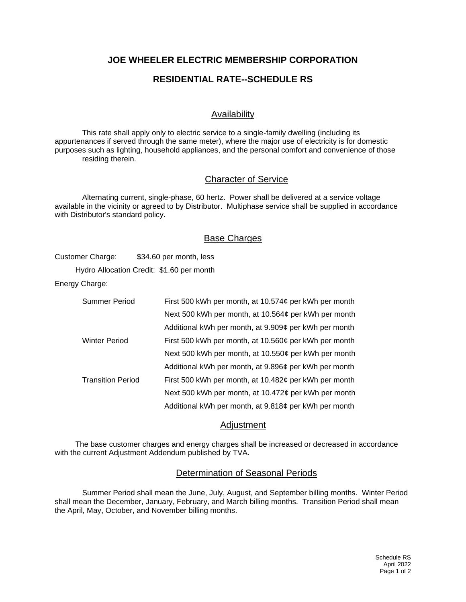## **JOE WHEELER ELECTRIC MEMBERSHIP CORPORATION**

# **RESIDENTIAL RATE--SCHEDULE RS**

## Availability

This rate shall apply only to electric service to a single-family dwelling (including its appurtenances if served through the same meter), where the major use of electricity is for domestic purposes such as lighting, household appliances, and the personal comfort and convenience of those residing therein.

#### Character of Service

Alternating current, single-phase, 60 hertz. Power shall be delivered at a service voltage available in the vicinity or agreed to by Distributor. Multiphase service shall be supplied in accordance with Distributor's standard policy.

#### Base Charges

Customer Charge: \$34.60 per month, less

Hydro Allocation Credit: \$1.60 per month

Energy Charge:

| Summer Period            | First 500 kWh per month, at 10.574¢ per kWh per month |
|--------------------------|-------------------------------------------------------|
|                          | Next 500 kWh per month, at 10.564¢ per kWh per month  |
|                          | Additional kWh per month, at 9.909¢ per kWh per month |
| <b>Winter Period</b>     | First 500 kWh per month, at 10.560¢ per kWh per month |
|                          | Next 500 kWh per month, at 10.550¢ per kWh per month  |
|                          | Additional kWh per month, at 9.896¢ per kWh per month |
| <b>Transition Period</b> | First 500 kWh per month, at 10.482¢ per kWh per month |
|                          | Next 500 kWh per month, at 10.472¢ per kWh per month  |
|                          | Additional kWh per month, at 9.818¢ per kWh per month |

#### Adjustment

The base customer charges and energy charges shall be increased or decreased in accordance with the current Adjustment Addendum published by TVA.

#### Determination of Seasonal Periods

Summer Period shall mean the June, July, August, and September billing months. Winter Period shall mean the December, January, February, and March billing months. Transition Period shall mean the April, May, October, and November billing months.